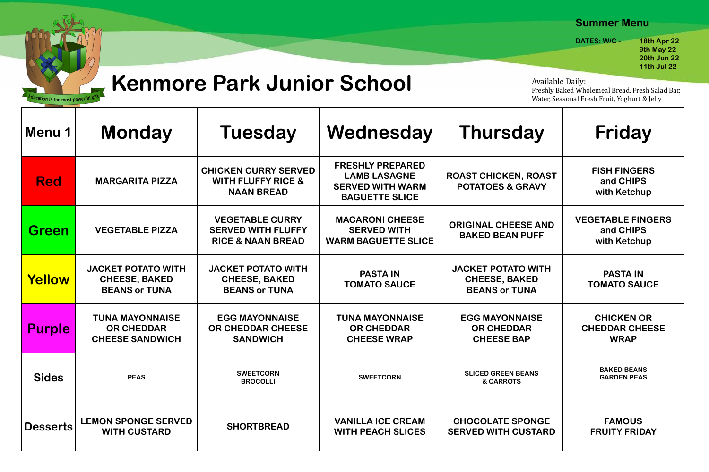| Menu 1          | <b>Monday</b>                                                             | <b>Tuesday</b>                                                                      | Wednesday                                                                                          | Thursday                                                                  | <b>Friday</b>                                             |
|-----------------|---------------------------------------------------------------------------|-------------------------------------------------------------------------------------|----------------------------------------------------------------------------------------------------|---------------------------------------------------------------------------|-----------------------------------------------------------|
| <b>Red</b>      | <b>MARGARITA PIZZA</b>                                                    | <b>CHICKEN CURRY SERVED</b><br><b>WITH FLUFFY RICE &amp;</b><br><b>NAAN BREAD</b>   | <b>FRESHLY PREPARED</b><br><b>LAMB LASAGNE</b><br><b>SERVED WITH WARM</b><br><b>BAGUETTE SLICE</b> | <b>ROAST CHICKEN, ROAST</b><br><b>POTATOES &amp; GRAVY</b>                | <b>FISH FINGERS</b><br>and CHIPS<br>with Ketchup          |
| <b>Green</b>    | <b>VEGETABLE PIZZA</b>                                                    | <b>VEGETABLE CURRY</b><br><b>SERVED WITH FLUFFY</b><br><b>RICE &amp; NAAN BREAD</b> | <b>MACARONI CHEESE</b><br><b>SERVED WITH</b><br><b>WARM BAGUETTE SLICE</b>                         | <b>ORIGINAL CHEESE AND</b><br><b>BAKED BEAN PUFF</b>                      | <b>VEGETABLE FINGERS</b><br>and CHIPS<br>with Ketchup     |
| <b>Yellow</b>   | <b>JACKET POTATO WITH</b><br><b>CHEESE, BAKED</b><br><b>BEANS or TUNA</b> | <b>JACKET POTATO WITH</b><br><b>CHEESE, BAKED</b><br><b>BEANS or TUNA</b>           | <b>PASTA IN</b><br><b>TOMATO SAUCE</b>                                                             | <b>JACKET POTATO WITH</b><br><b>CHEESE, BAKED</b><br><b>BEANS or TUNA</b> | <b>PASTA IN</b><br><b>TOMATO SAUCE</b>                    |
| <b>Purple</b>   | <b>TUNA MAYONNAISE</b><br><b>OR CHEDDAR</b><br><b>CHEESE SANDWICH</b>     | <b>EGG MAYONNAISE</b><br>OR CHEDDAR CHEESE<br><b>SANDWICH</b>                       | <b>TUNA MAYONNAISE</b><br><b>OR CHEDDAR</b><br><b>CHEESE WRAP</b>                                  | <b>EGG MAYONNAISE</b><br><b>OR CHEDDAR</b><br><b>CHEESE BAP</b>           | <b>CHICKEN OR</b><br><b>CHEDDAR CHEESE</b><br><b>WRAP</b> |
| <b>Sides</b>    | <b>PEAS</b>                                                               | <b>SWEETCORN</b><br><b>BROCOLLI</b>                                                 | <b>SWEETCORN</b>                                                                                   | <b>SLICED GREEN BEANS</b><br>& CARROTS                                    | <b>BAKED BEANS</b><br><b>GARDEN PEAS</b>                  |
| <b>Desserts</b> | <b>LEMON SPONGE SERVED</b><br><b>WITH CUSTARD</b>                         | <b>SHORTBREAD</b>                                                                   | <b>VANILLA ICE CREAM</b><br><b>WITH PEACH SLICES</b>                                               | <b>CHOCOLATE SPONGE</b><br><b>SERVED WITH CUSTARD</b>                     | <b>FAMOUS</b><br><b>FRUITY FRIDAY</b>                     |



# **Kenmore Park Junior School**

### **Summer Menu**

**DATES: W/C - 18th Apr 22 19th May 22 20th Jun 22 11th Jul 22**

Available Daily: Freshly Baked Wholemeal Bread, Fresh Salad Bar, Water, Seasonal Fresh Fruit, Yoghurt & Jelly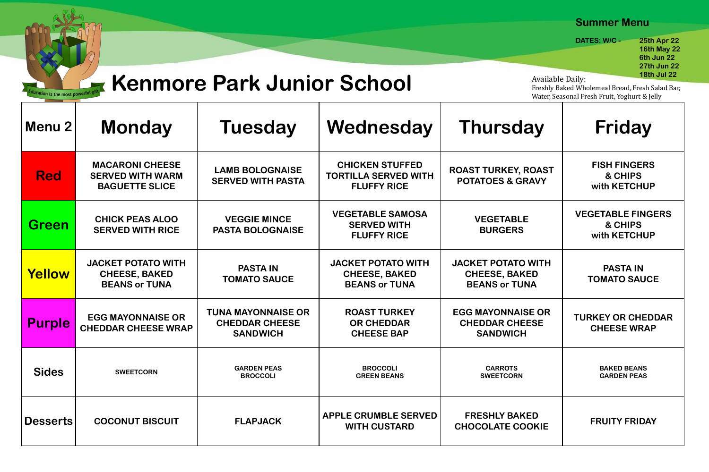## **Kenmore Park Junior School**

on is the most powerfu

| Menu 2          | <b>Monday</b>                                                              | <b>Tuesday</b>                                                        | Wednesday                                                                   | Thursday                                                                  | <b>Friday</b>                                       |
|-----------------|----------------------------------------------------------------------------|-----------------------------------------------------------------------|-----------------------------------------------------------------------------|---------------------------------------------------------------------------|-----------------------------------------------------|
| <b>Red</b>      | <b>MACARONI CHEESE</b><br><b>SERVED WITH WARM</b><br><b>BAGUETTE SLICE</b> | <b>LAMB BOLOGNAISE</b><br><b>SERVED WITH PASTA</b>                    | <b>CHICKEN STUFFED</b><br><b>TORTILLA SERVED WITH</b><br><b>FLUFFY RICE</b> | <b>ROAST TURKEY, ROAST</b><br><b>POTATOES &amp; GRAVY</b>                 | <b>FISH FINGERS</b><br>& CHIPS<br>with KETCHUP      |
| <b>Green</b>    | <b>CHICK PEAS ALOO</b><br><b>SERVED WITH RICE</b>                          | <b>VEGGIE MINCE</b><br><b>PASTA BOLOGNAISE</b>                        | <b>VEGETABLE SAMOSA</b><br><b>SERVED WITH</b><br><b>FLUFFY RICE</b>         | <b>VEGETABLE</b><br><b>BURGERS</b>                                        | <b>VEGETABLE FINGERS</b><br>& CHIPS<br>with KETCHUP |
| <b>Yellow</b>   | <b>JACKET POTATO WITH</b><br><b>CHEESE, BAKED</b><br><b>BEANS or TUNA</b>  | <b>PASTA IN</b><br><b>TOMATO SAUCE</b>                                | <b>JACKET POTATO WITH</b><br><b>CHEESE, BAKED</b><br><b>BEANS or TUNA</b>   | <b>JACKET POTATO WITH</b><br><b>CHEESE, BAKED</b><br><b>BEANS or TUNA</b> | <b>PASTA IN</b><br><b>TOMATO SAUCE</b>              |
| <b>Purple</b>   | <b>EGG MAYONNAISE OR</b><br><b>CHEDDAR CHEESE WRAP</b>                     | <b>TUNA MAYONNAISE OR</b><br><b>CHEDDAR CHEESE</b><br><b>SANDWICH</b> | <b>ROAST TURKEY</b><br><b>OR CHEDDAR</b><br><b>CHEESE BAP</b>               | <b>EGG MAYONNAISE OR</b><br><b>CHEDDAR CHEESE</b><br><b>SANDWICH</b>      | <b>TURKEY OR CHEDDAR</b><br><b>CHEESE WRAP</b>      |
| <b>Sides</b>    | <b>SWEETCORN</b>                                                           | <b>GARDEN PEAS</b><br><b>BROCCOLI</b>                                 | <b>BROCCOLI</b><br><b>GREEN BEANS</b>                                       | <b>CARROTS</b><br><b>SWEETCORN</b>                                        | <b>BAKED BEANS</b><br><b>GARDEN PEAS</b>            |
| <b>Desserts</b> | <b>COCONUT BISCUIT</b>                                                     | <b>FLAPJACK</b>                                                       | <b>APPLE CRUMBLE SERVED</b><br><b>WITH CUSTARD</b>                          | <b>FRESHLY BAKED</b><br><b>CHOCOLATE COOKIE</b>                           | <b>FRUITY FRIDAY</b>                                |

**Available Daily:** Freshly Baked Wholemeal Bread, Fresh Salad Bar, Water, Seasonal Fresh Fruit, Yoghurt & Jelly

## **Summer Menu**

**DATES: W/C - 25th Apr 22 16th May 22 1960 - Guide Constitution Constitution Constitution Constitution Constitution Constitution Constitution Const 27th Jun 22**